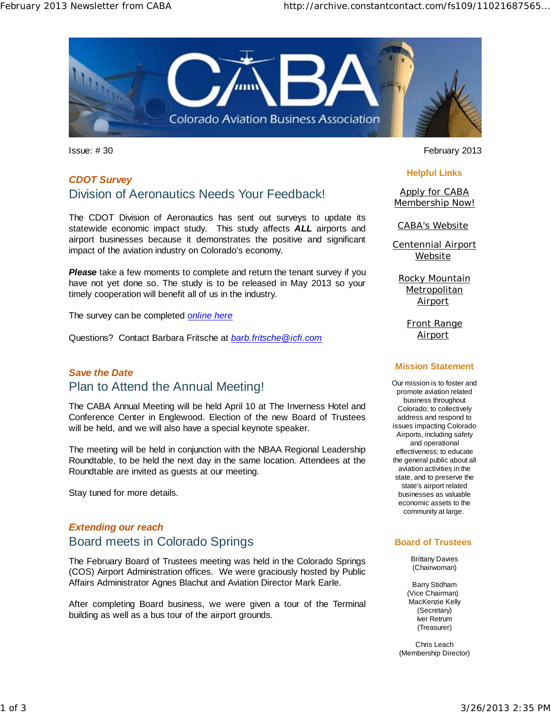

# *CDOT Survey* Division of Aeronautics Needs Your Feedback!

The CDOT Division of Aeronautics has sent out surveys to update its statewide economic impact study. This study affects *ALL* airports and airport businesses because it demonstrates the positive and significant impact of the aviation industry on Colorado's economy.

**Please** take a few moments to complete and return the tenant survey if you have not yet done so. The study is to be released in May 2013 so your timely cooperation will benefit all of us in the industry.

The survey can be completed *online here*

Questions? Contact Barbara Fritsche at *barb.fritsche@icfi.com* 

## *Save the Date*  Plan to Attend the Annual Meeting!

The CABA Annual Meeting will be held April 10 at The Inverness Hotel and Conference Center in Englewood. Election of the new Board of Trustees will be held, and we will also have a special keynote speaker.

The meeting will be held in conjunction with the NBAA Regional Leadership Roundtable, to be held the next day in the same location. Attendees at the Roundtable are invited as guests at our meeting.

Stay tuned for more details.

# *Extending our reach*  Board meets in Colorado Springs

The February Board of Trustees meeting was held in the Colorado Springs (COS) Airport Administration offices. We were graciously hosted by Public Affairs Administrator Agnes Blachut and Aviation Director Mark Earle.

After completing Board business, we were given a tour of the Terminal building as well as a bus tour of the airport grounds.

Issue: # 30 February 2013

#### **Helpful Links**

Apply for CABA Membership Now!

CABA's Website

Centennial Airport Website

Rocky Mountain **Metropolitan** Airport

> Front Range **Airport**

#### **Mission Statement**

Our mission is to foster and promote aviation related business throughout Colorado; to collectively address and respond to issues impacting Colorado Airports, including safety and operational effectiveness; to educate the general public about all aviation activities in the state, and to preserve the state's airport related businesses as valuable economic assets to the community at large.

#### **Board of Trustees**

Brittany Davies (Chairwoman)

Barry Stidham (Vice Chairman) MacKenzie Kelly (Secretary) Iver Retrum (Treasurer)

Chris Leach (Membership Director)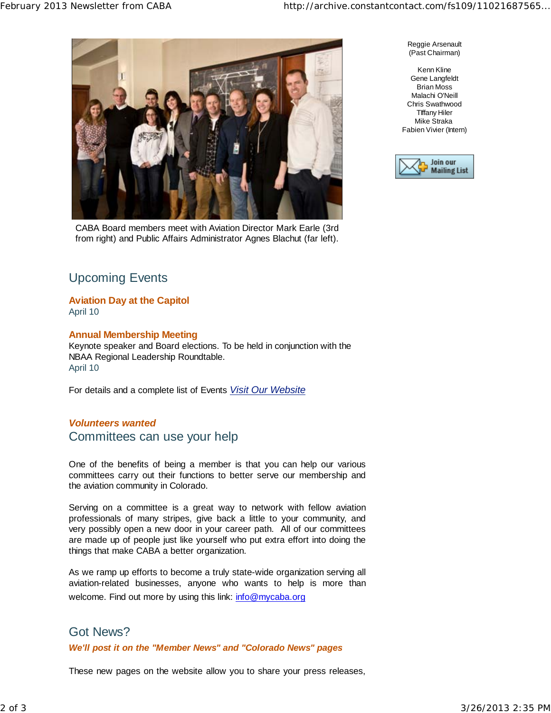

CABA Board members meet with Aviation Director Mark Earle (3rd from right) and Public Affairs Administrator Agnes Blachut (far left).

Reggie Arsenault (Past Chairman)

Kenn Kline Gene Langfeldt Brian Moss Malachi O'Neill Chris Swathwood TIffany Hiler Mike Straka Fabien Vivier (Intern)



# Upcoming Events

## **Aviation Day at the Capitol**

April 10

#### **Annual Membership Meeting**

Keynote speaker and Board elections. To be held in conjunction with the NBAA Regional Leadership Roundtable. April 10

For details and a complete list of Events *Visit Our Website*

#### *Volunteers wanted* Committees can use your help

One of the benefits of being a member is that you can help our various committees carry out their functions to better serve our membership and the aviation community in Colorado.

Serving on a committee is a great way to network with fellow aviation professionals of many stripes, give back a little to your community, and very possibly open a new door in your career path. All of our committees are made up of people just like yourself who put extra effort into doing the things that make CABA a better organization.

As we ramp up efforts to become a truly state-wide organization serving all aviation-related businesses, anyone who wants to help is more than welcome. Find out more by using this link: info@mycaba.org

### Got News?

#### *We'll post it on the "Member News" and "Colorado News" pages*

These new pages on the website allow you to share your press releases,